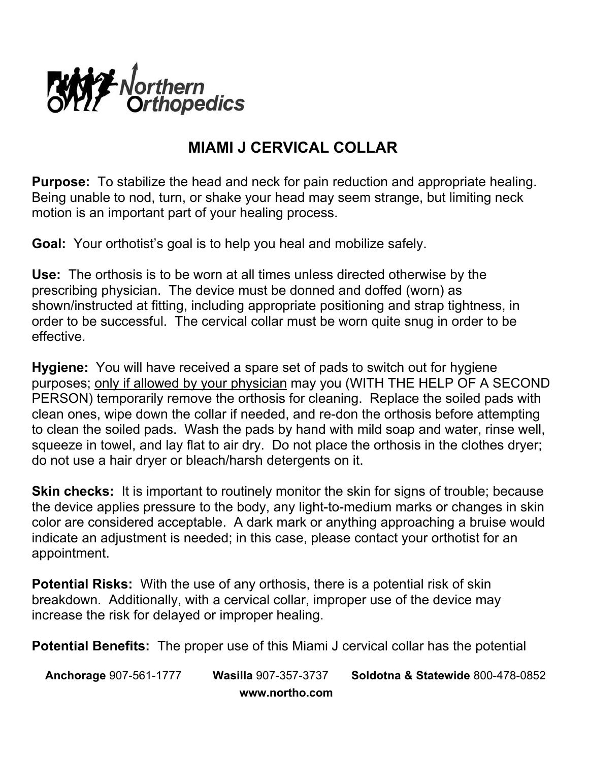

## **MIAMI J CERVICAL COLLAR**

**Purpose:** To stabilize the head and neck for pain reduction and appropriate healing. Being unable to nod, turn, or shake your head may seem strange, but limiting neck motion is an important part of your healing process.

**Goal:** Your orthotist's goal is to help you heal and mobilize safely.

**Use:** The orthosis is to be worn at all times unless directed otherwise by the prescribing physician. The device must be donned and doffed (worn) as shown/instructed at fitting, including appropriate positioning and strap tightness, in order to be successful. The cervical collar must be worn quite snug in order to be effective.

**Hygiene:** You will have received a spare set of pads to switch out for hygiene purposes; only if allowed by your physician may you (WITH THE HELP OF A SECOND PERSON) temporarily remove the orthosis for cleaning. Replace the soiled pads with clean ones, wipe down the collar if needed, and re-don the orthosis before attempting to clean the soiled pads. Wash the pads by hand with mild soap and water, rinse well, squeeze in towel, and lay flat to air dry. Do not place the orthosis in the clothes dryer; do not use a hair dryer or bleach/harsh detergents on it.

**Skin checks:** It is important to routinely monitor the skin for signs of trouble; because the device applies pressure to the body, any light-to-medium marks or changes in skin color are considered acceptable. A dark mark or anything approaching a bruise would indicate an adjustment is needed; in this case, please contact your orthotist for an appointment.

**Potential Risks:** With the use of any orthosis, there is a potential risk of skin breakdown. Additionally, with a cervical collar, improper use of the device may increase the risk for delayed or improper healing.

**Potential Benefits:** The proper use of this Miami J cervical collar has the potential

**Anchorage** 907-561-1777 **Wasilla** 907-357-3737 **Soldotna & Statewide** 800-478-0852  **www.northo.com**